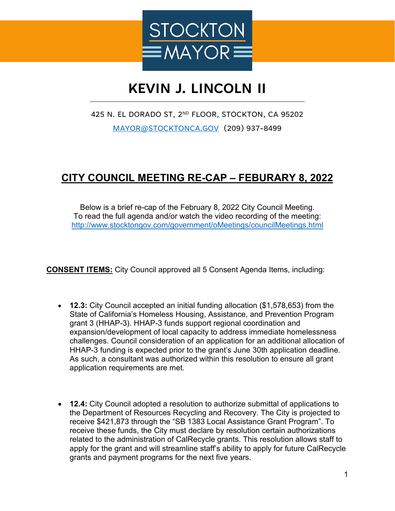

## **KEVIN J. LINCOLN II**

425 N. EL DORADO ST, 2ND FLOOR, STOCKTON, CA 95202 [MAYOR@STOCKTONCA.GOV](mailto:MAYOR@STOCKTONCA.GOV) (209) 937-8499

## **CITY COUNCIL MEETING RE-CAP – FEBURARY 8, 2022**

Below is a brief re-cap of the February 8, 2022 City Council Meeting. To read the full agenda and/or watch the video recording of the meeting: <http://www.stocktongov.com/government/oMeetings/councilMeetings.html>

**CONSENT ITEMS:** City Council approved all 5 Consent Agenda Items, including:

- **12.3:** City Council accepted an initial funding allocation (\$1,578,653) from the State of California's Homeless Housing, Assistance, and Prevention Program grant 3 (HHAP-3). HHAP-3 funds support regional coordination and expansion/development of local capacity to address immediate homelessness challenges. Council consideration of an application for an additional allocation of HHAP-3 funding is expected prior to the grant's June 30th application deadline. As such, a consultant was authorized within this resolution to ensure all grant application requirements are met.
- **12.4:** City Council adopted a resolution to authorize submittal of applications to the Department of Resources Recycling and Recovery. The City is projected to receive \$421,873 through the "SB 1383 Local Assistance Grant Program". To receive these funds, the City must declare by resolution certain authorizations related to the administration of CalRecycle grants. This resolution allows staff to apply for the grant and will streamline staff's ability to apply for future CalRecycle grants and payment programs for the next five years.